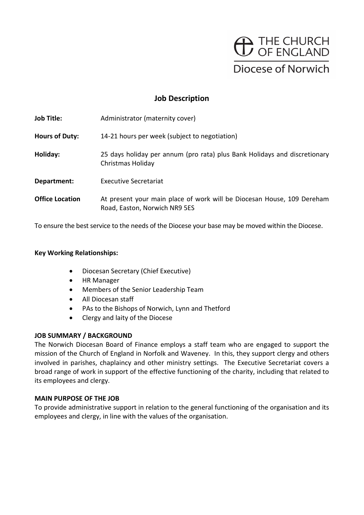

# Job Description

| <b>Job Title:</b>      | Administrator (maternity cover)                                                                         |
|------------------------|---------------------------------------------------------------------------------------------------------|
| <b>Hours of Duty:</b>  | 14-21 hours per week (subject to negotiation)                                                           |
| Holiday:               | 25 days holiday per annum (pro rata) plus Bank Holidays and discretionary<br>Christmas Holiday          |
| Department:            | <b>Executive Secretariat</b>                                                                            |
| <b>Office Location</b> | At present your main place of work will be Diocesan House, 109 Dereham<br>Road, Easton, Norwich NR9 5ES |

To ensure the best service to the needs of the Diocese your base may be moved within the Diocese.

### Key Working Relationships:

- Diocesan Secretary (Chief Executive)
- HR Manager
- Members of the Senior Leadership Team
- All Diocesan staff
- PAs to the Bishops of Norwich, Lynn and Thetford
- Clergy and laity of the Diocese

### JOB SUMMARY / BACKGROUND

The Norwich Diocesan Board of Finance employs a staff team who are engaged to support the mission of the Church of England in Norfolk and Waveney. In this, they support clergy and others involved in parishes, chaplaincy and other ministry settings. The Executive Secretariat covers a broad range of work in support of the effective functioning of the charity, including that related to its employees and clergy.

## MAIN PURPOSE OF THE JOB

To provide administrative support in relation to the general functioning of the organisation and its employees and clergy, in line with the values of the organisation.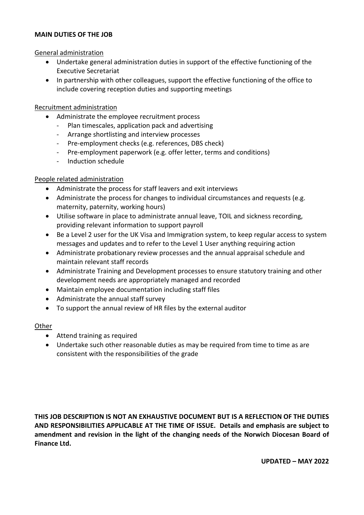### MAIN DUTIES OF THE JOB

General administration

- Undertake general administration duties in support of the effective functioning of the Executive Secretariat
- In partnership with other colleagues, support the effective functioning of the office to include covering reception duties and supporting meetings

## Recruitment administration

- -
	-
	-
- Administrate the employee recruitment process<br>
Plan timescales, application pack and advertising<br>
Arrange shortlisting and interview processes<br>
Pre-employment checks (e.g. references, DBS check)<br>
Pre-employment p
	-

# People related administration

- Administrate the process for staff leavers and exit interviews
- Administrate the process for changes to individual circumstances and requests (e.g. maternity, paternity, working hours)
- Utilise software in place to administrate annual leave, TOIL and sickness recording, providing relevant information to support payroll
- Be a Level 2 user for the UK Visa and Immigration system, to keep regular access to system messages and updates and to refer to the Level 1 User anything requiring action
- Administrate probationary review processes and the annual appraisal schedule and maintain relevant staff records
- Administrate Training and Development processes to ensure statutory training and other development needs are appropriately managed and recorded
- Maintain employee documentation including staff files
- Administrate the annual staff survey
- To support the annual review of HR files by the external auditor

# **Other**

- Attend training as required
- Undertake such other reasonable duties as may be required from time to time as are consistent with the responsibilities of the grade

THIS JOB DESCRIPTION IS NOT AN EXHAUSTIVE DOCUMENT BUT IS A REFLECTION OF THE DUTIES AND RESPONSIBILITIES APPLICABLE AT THE TIME OF ISSUE. Details and emphasis are subject to amendment and revision in the light of the changing needs of the Norwich Diocesan Board of Finance Ltd.